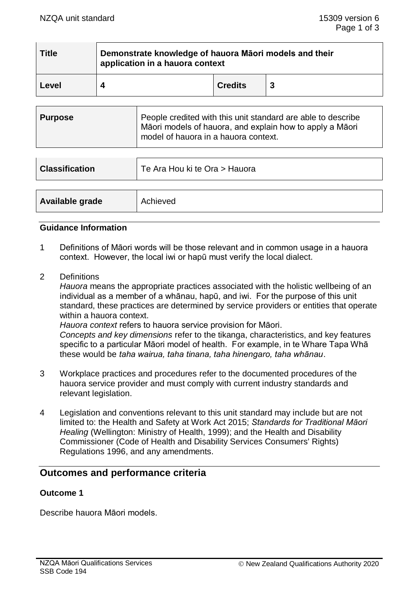| Title | Demonstrate knowledge of hauora Māori models and their<br>application in a hauora context |                |  |
|-------|-------------------------------------------------------------------------------------------|----------------|--|
| Level | Δ                                                                                         | <b>Credits</b> |  |

| <b>Purpose</b> | People credited with this unit standard are able to describe<br>Māori models of hauora, and explain how to apply a Māori<br>model of hauora in a hauora context. |
|----------------|------------------------------------------------------------------------------------------------------------------------------------------------------------------|
|                |                                                                                                                                                                  |

| <b>Classification</b> | Te Ara Hou ki te Ora > Hauora |  |
|-----------------------|-------------------------------|--|
|                       |                               |  |
| Available grade       | Achieved                      |  |

#### **Guidance Information**

- 1 Definitions of Māori words will be those relevant and in common usage in a hauora context. However, the local iwi or hapū must verify the local dialect.
- 2 Definitions

*Hauora* means the appropriate practices associated with the holistic wellbeing of an individual as a member of a whānau, hapū, and iwi. For the purpose of this unit standard, these practices are determined by service providers or entities that operate within a hauora context.

*Hauora context* refers to hauora service provision for Māori.

*Concepts and key dimensions* refer to the tikanga, characteristics, and key features specific to a particular Māori model of health. For example, in te Whare Tapa Whā these would be *taha wairua, taha tinana, taha hinengaro, taha whānau*.

- 3 Workplace practices and procedures refer to the documented procedures of the hauora service provider and must comply with current industry standards and relevant legislation.
- 4 Legislation and conventions relevant to this unit standard may include but are not limited to: the Health and Safety at Work Act 2015; *Standards for Traditional Māori Healing* (Wellington: Ministry of Health, 1999); and the Health and Disability Commissioner (Code of Health and Disability Services Consumers' Rights) Regulations 1996, and any amendments.

## **Outcomes and performance criteria**

### **Outcome 1**

Describe hauora Māori models.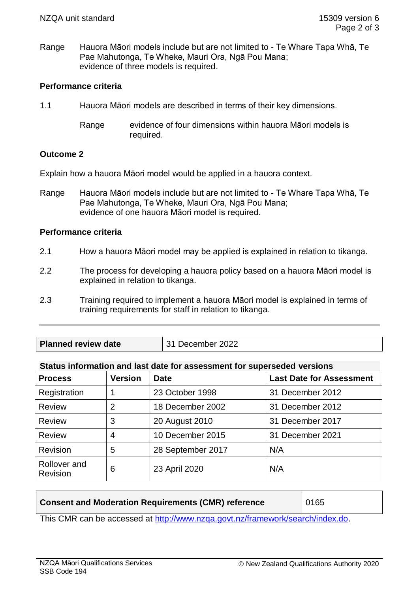Range Hauora Māori models include but are not limited to - Te Whare Tapa Whā, Te Pae Mahutonga, Te Wheke, Mauri Ora, Ngā Pou Mana; evidence of three models is required.

### **Performance criteria**

- 1.1 Hauora Māori models are described in terms of their key dimensions.
	- Range evidence of four dimensions within hauora Māori models is required.

### **Outcome 2**

Explain how a hauora Māori model would be applied in a hauora context.

Range Hauora Māori models include but are not limited to - Te Whare Tapa Whā, Te Pae Mahutonga, Te Wheke, Mauri Ora, Ngā Pou Mana; evidence of one hauora Māori model is required.

### **Performance criteria**

- 2.1 How a hauora Māori model may be applied is explained in relation to tikanga.
- 2.2 The process for developing a hauora policy based on a hauora Māori model is explained in relation to tikanga.
- 2.3 Training required to implement a hauora Māori model is explained in terms of training requirements for staff in relation to tikanga.
- **Planned review date**  $\vert$  31 December 2022

### **Status information and last date for assessment for superseded versions**

| <b>Process</b>           | <b>Version</b> | <b>Date</b>       | <b>Last Date for Assessment</b> |
|--------------------------|----------------|-------------------|---------------------------------|
| Registration             |                | 23 October 1998   | 31 December 2012                |
| <b>Review</b>            | 2              | 18 December 2002  | 31 December 2012                |
| <b>Review</b>            | 3              | 20 August 2010    | 31 December 2017                |
| <b>Review</b>            | 4              | 10 December 2015  | 31 December 2021                |
| <b>Revision</b>          | 5              | 28 September 2017 | N/A                             |
| Rollover and<br>Revision | 6              | 23 April 2020     | N/A                             |

## **Consent and Moderation Requirements (CMR) reference** | 0165

This CMR can be accessed at [http://www.nzqa.govt.nz/framework/search/index.do.](http://www.nzqa.govt.nz/framework/search/index.do)